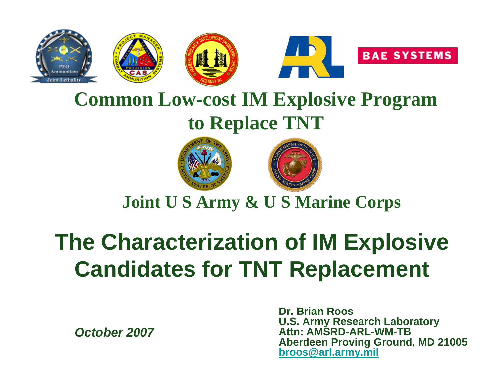

### **Common Low-cost IM Explosive Program to Replace TNT**





**Joint U S Army & U S Marine Corps**

# **The Characterization of IM Explosive Candidates for TNT Replacement**

*October 2007*

**Dr. Brian RoosU.S. Army Research Laboratory Attn: AMSRD-ARL-WM-TBAberdeen Proving Ground, MD 21005 [broos@arl.army.mil](mailto:broos@arl.army.mil)**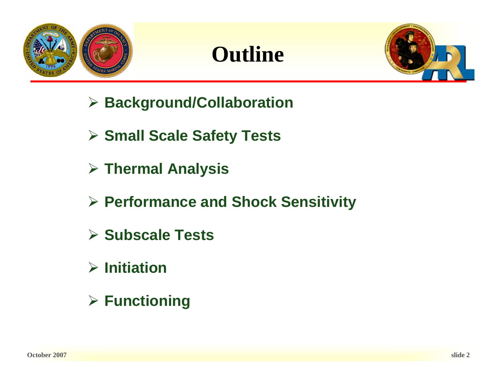





- ¾ **Background/Collaboration**
- ¾ **Small Scale Safety Tests**
- ¾ **Thermal Analysis**
- ¾ **Performance and Shock Sensitivity**
- ¾ **Subscale Tests**
- ¾ **Initiation**
- ¾ **Functioning**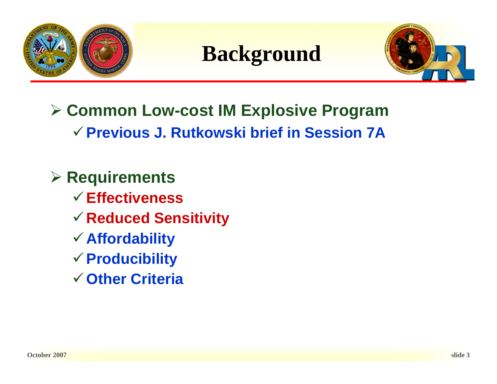





- ¾ **Common Low-cost IM Explosive Program** 9**Previous J. Rutkowski brief in Session 7A**
- ¾ **Requirements**
	- 9**Effectiveness**
	- <sup>9</sup>**Reduced Sensitivity**
	- <sup>9</sup>**Affordability**
	- <sup>9</sup>**Producibility**
	- 9**Other Criteria**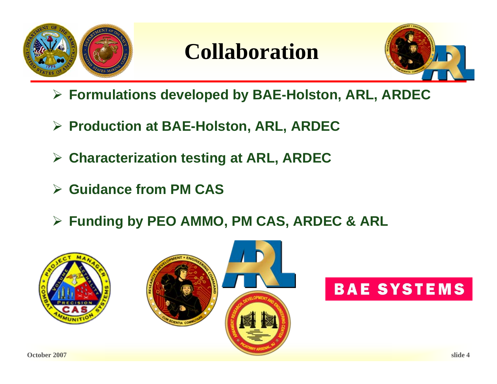

### **Collaboration**



- ¾ **Formulations developed by BAE-Holston, ARL, ARDEC**
- ¾ **Production at BAE-Holston, ARL, ARDEC**
- ¾ **Characterization testing at ARL, ARDEC**
- ¾ **Guidance from PM CAS**
- ¾ **Funding by PEO AMMO, PM CAS, ARDEC & ARL**







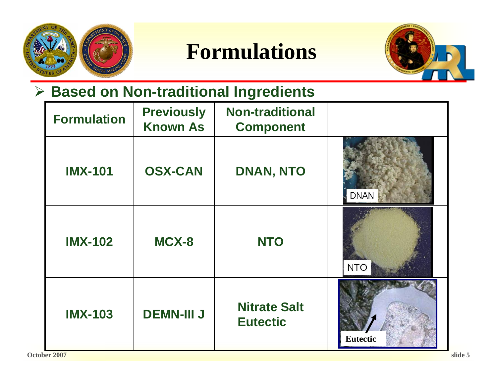

**Formulations**



### ¾ **Based on Non-traditional Ingredients**

| <b>Formulation</b> | <b>Previously</b><br><b>Known As</b> | <b>Non-traditional</b><br><b>Component</b> |                 |
|--------------------|--------------------------------------|--------------------------------------------|-----------------|
| <b>IMX-101</b>     | <b>OSX-CAN</b>                       | <b>DNAN, NTO</b>                           | <b>DNAN</b>     |
| <b>IMX-102</b>     | MCX-8                                | <b>NTO</b>                                 | <b>NTO</b>      |
| <b>IMX-103</b>     | <b>DEMN-III J</b>                    | <b>Nitrate Salt</b><br><b>Eutectic</b>     | <b>Eutectic</b> |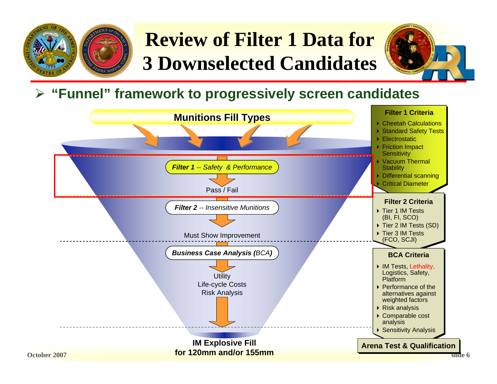

## **Review of Filter 1 Data for 3 Downselected Candidates**



#### ¾ **"Funnel" framework to progressively screen candidates**

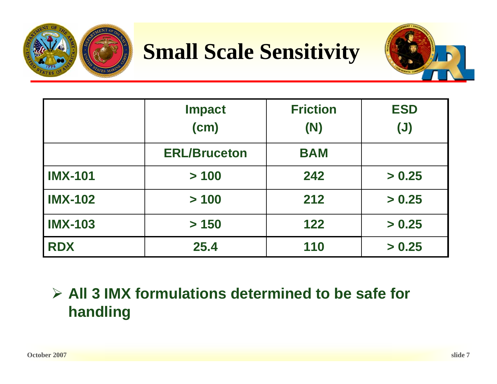

## **Small Scale Sensitivity**



|                | <b>Impact</b>       | <b>Friction</b> | <b>ESD</b>     |
|----------------|---------------------|-----------------|----------------|
|                | (cm)                | (N)             | $(\mathsf{U})$ |
|                | <b>ERL/Bruceton</b> | <b>BAM</b>      |                |
| <b>IMX-101</b> | > 100               | 242             | > 0.25         |
| <b>IMX-102</b> | > 100               | 212             | > 0.25         |
| <b>IMX-103</b> | > 150               | 122             | > 0.25         |
| <b>RDX</b>     | 25.4                | 110             | > 0.25         |

### ¾ **All 3 IMX formulations determined to be safe for handling**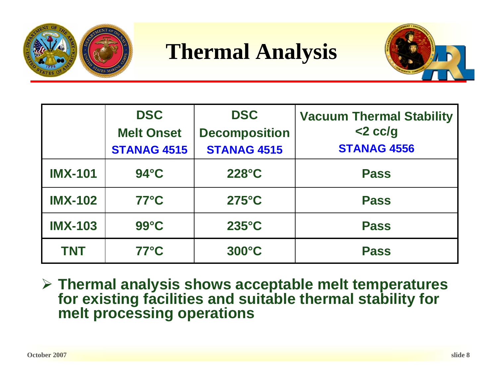

**Thermal Analysis**



|                | <b>DSC</b>         | <b>DSC</b>           | <b>Vacuum Thermal Stability</b> |  |
|----------------|--------------------|----------------------|---------------------------------|--|
|                | <b>Melt Onset</b>  | <b>Decomposition</b> | $<$ 2 cc/g                      |  |
|                | <b>STANAG 4515</b> | <b>STANAG 4515</b>   | <b>STANAG 4556</b>              |  |
| <b>IMX-101</b> | $94^\circ C$       | $228^\circ C$        | <b>Pass</b>                     |  |
| <b>IMX-102</b> | $77^{\circ}$ C     | $275^{\circ}$ C      | <b>Pass</b>                     |  |
| <b>IMX-103</b> | $99^{\circ}$ C     | $235^{\circ}$ C      | <b>Pass</b>                     |  |
| <b>TNT</b>     | $77^{\circ}$ C     | 300°C                | <b>Pass</b>                     |  |

¾ **Thermal analysis shows acceptable melt temperatures for existing facilities and suitable thermal stability for melt processing operations**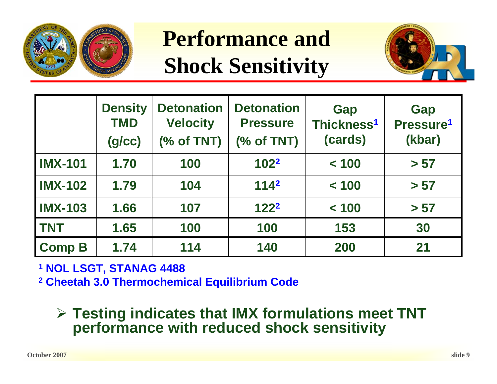

**Performance and Shock Sensitivity**



|                | <b>Density</b><br><b>TMD</b><br>(g/cc) | <b>Detonation</b><br><b>Velocity</b><br>% of TNT) | <b>Detonation</b><br><b>Pressure</b><br>$(% \mathcal{L}_{0}^{\infty})$ of TNT) | Gap<br>Thickness <sup>1</sup><br>(cards) | Gap<br>Pressure <sup>1</sup><br>(kbar) |
|----------------|----------------------------------------|---------------------------------------------------|--------------------------------------------------------------------------------|------------------------------------------|----------------------------------------|
| <b>IMX-101</b> | 1.70                                   | 100                                               | $102^2$                                                                        | < 100                                    | > 57                                   |
| <b>IMX-102</b> | 1.79                                   | 104                                               | 114 <sup>2</sup>                                                               | < 100                                    | > 57                                   |
| <b>IMX-103</b> | 1.66                                   | 107                                               | 122 <sup>2</sup>                                                               | < 100                                    | > 57                                   |
| <b>TNT</b>     | 1.65                                   | 100                                               | 100                                                                            | 153                                      | 30                                     |
| <b>Comp B</b>  | 1.74                                   | 114                                               | 140                                                                            | 200                                      | 21                                     |

**1 NOL LSGT, STANAG 4488**

**2 Cheetah 3.0 Thermochemical Equilibrium Code**

#### ¾ **Testing indicates that IMX formulations meet TNT performance with reduced shock sensitivity**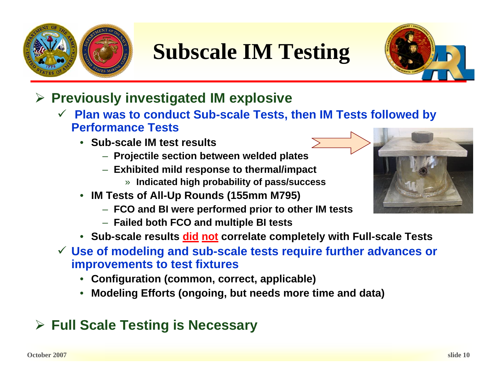

# **Subscale IM Testing**



- ¾ **Previously investigated IM explosive** 
	- 9 **Plan was to conduct Sub-scale Tests, then IM Tests followed by Performance Tests**
		- **Sub-scale IM test results**
			- **Projectile section between welded plates**
			- **Exhibited mild response to thermal/impact**
				- » **Indicated high probability of pass/success**
		- **IM Tests of All-Up Rounds (155mm M795)**
			- **FCO and BI were performed prior to other IM tests**
			- **Failed both FCO and multiple BI tests**
		- **Sub-scale results did not correlate completely with Full-scale Tests**
	- 9 **Use of modeling and sub-scale tests require further advances or improvements to test fixtures**
		- **Configuration (common, correct, applicable)**
		- **Modeling Efforts (ongoing, but needs more time and data)**

### ¾ **Full Scale Testing is Necessary**

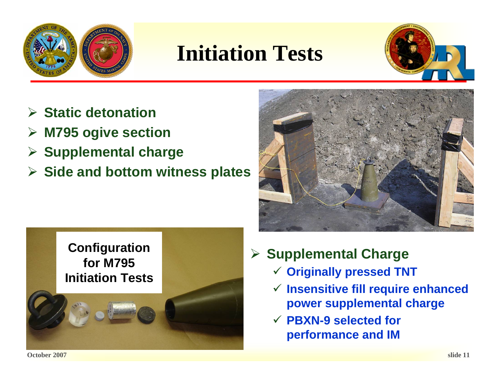

## **Initiation Tests**



- ¾ **Static detonation**
- ¾**M795 ogive section**
- ¾ **Supplemental charge**
- ¾ **Side and bottom witness plates**





- ¾ **Supplemental Charge**
	- 9 **Originally pressed TNT**
	- 9 **Insensitive fill require enhanced power supplemental charge**
	- 9 **PBXN-9 selected for performance and IM**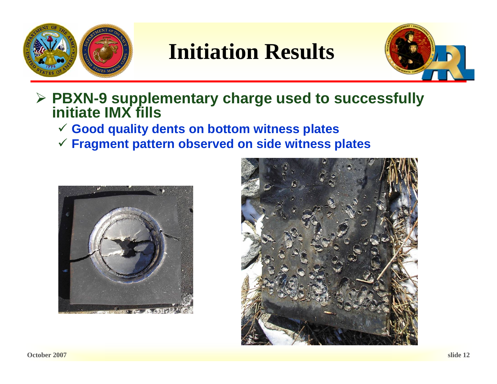

### **Initiation Results**



#### ¾ **PBXN-9 supplementary charge used to successfully initiate IMX fills**

- 9 **Good quality dents on bottom witness plates**
- 9 **Fragment pattern observed on side witness plates**



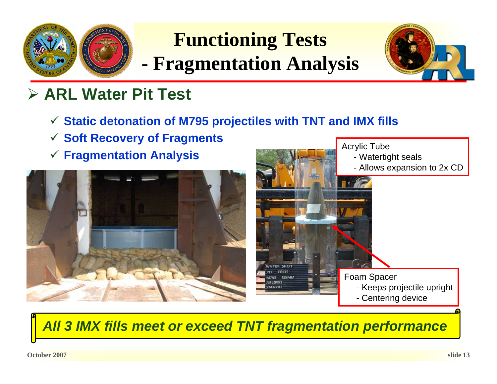

## **Functioning Tests**

**- Fragmentation Analysis**



### ¾ **ARL Water Pit Test**

- 9 **Static detonation of M795 projectiles with TNT and IMX fills**
- 9 **Soft Recovery of Fragments**
- 





*All 3 IMX fills meet or exceed TNT fragmentation performance*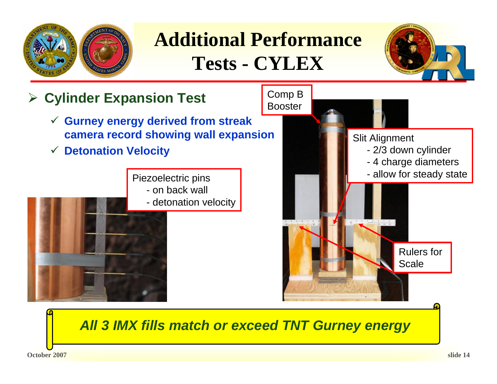

### **Additional Performance Tests - CYLEX**





*All 3 IMX fills match or exceed TNT Gurney energy*